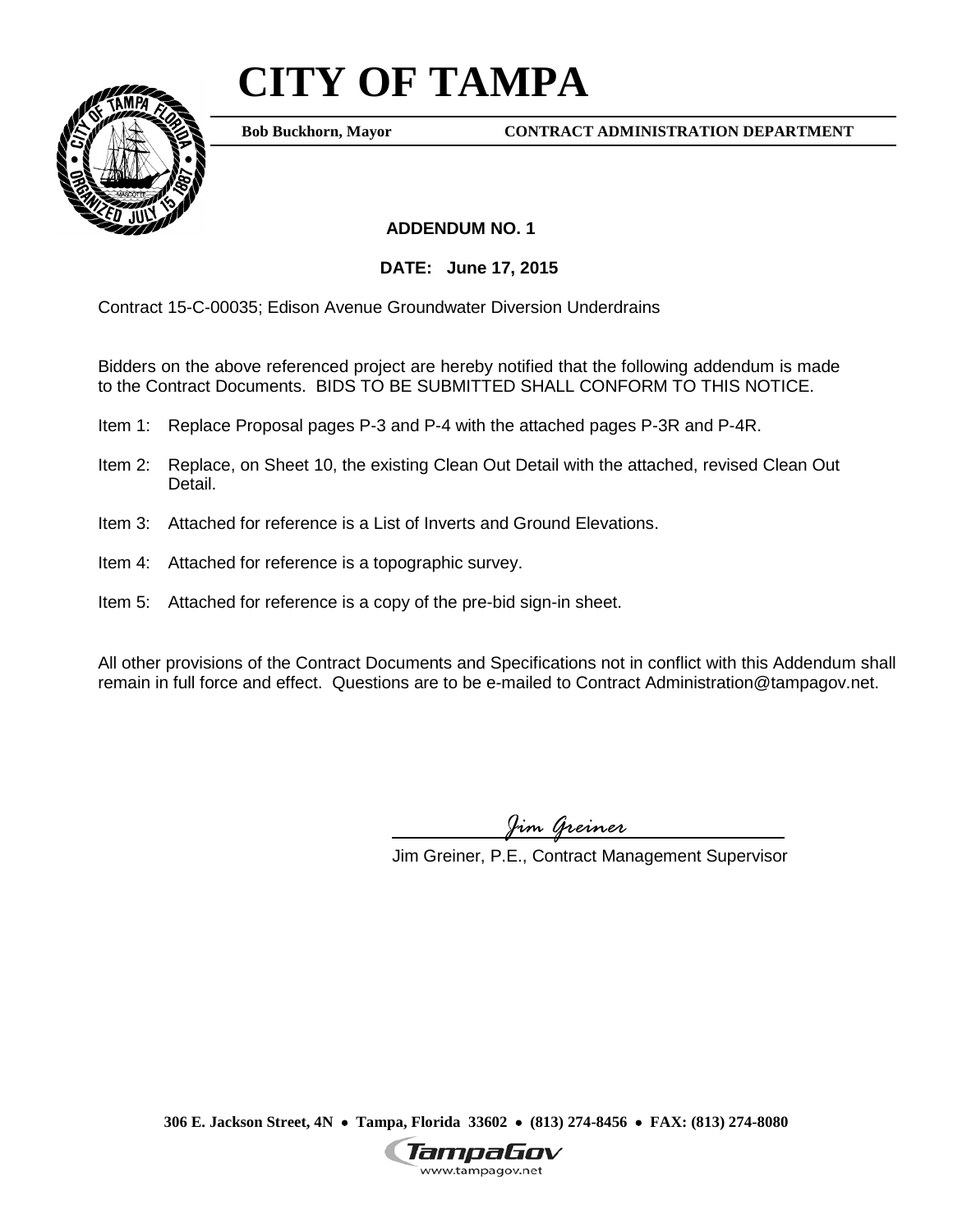## **CITY OF TAMPA**



**Bob Buckhorn, Mayor**

**CONTRACT ADMINISTRATION DEPARTMENT**

 **ADDENDUM NO. 1**

**DATE: June 17, 2015**

Contract 15-C-00035; Edison Avenue Groundwater Diversion Underdrains

Bidders on the above referenced project are hereby notified that the following addendum is made to the Contract Documents. BIDS TO BE SUBMITTED SHALL CONFORM TO THIS NOTICE.

- Item 1: Replace Proposal pages P-3 and P-4 with the attached pages P-3R and P-4R.
- Item 2: Replace, on Sheet 10, the existing Clean Out Detail with the attached, revised Clean Out Detail.
- Item 3: Attached for reference is a List of Inverts and Ground Elevations.
- Item 4: Attached for reference is a topographic survey.
- Item 5: Attached for reference is a copy of the pre-bid sign-in sheet.

All other provisions of the Contract Documents and Specifications not in conflict with this Addendum shall remain in full force and effect. Questions are to be e-mailed to Contract Administration@tampagov.net.

*Jim Greiner*

Jim Greiner, P.E., Contract Management Supervisor

**306 E. Jackson Street, 4N** • **Tampa, Florida 33602** • **(813) 274-8456** • **FAX: (813) 274-8080**

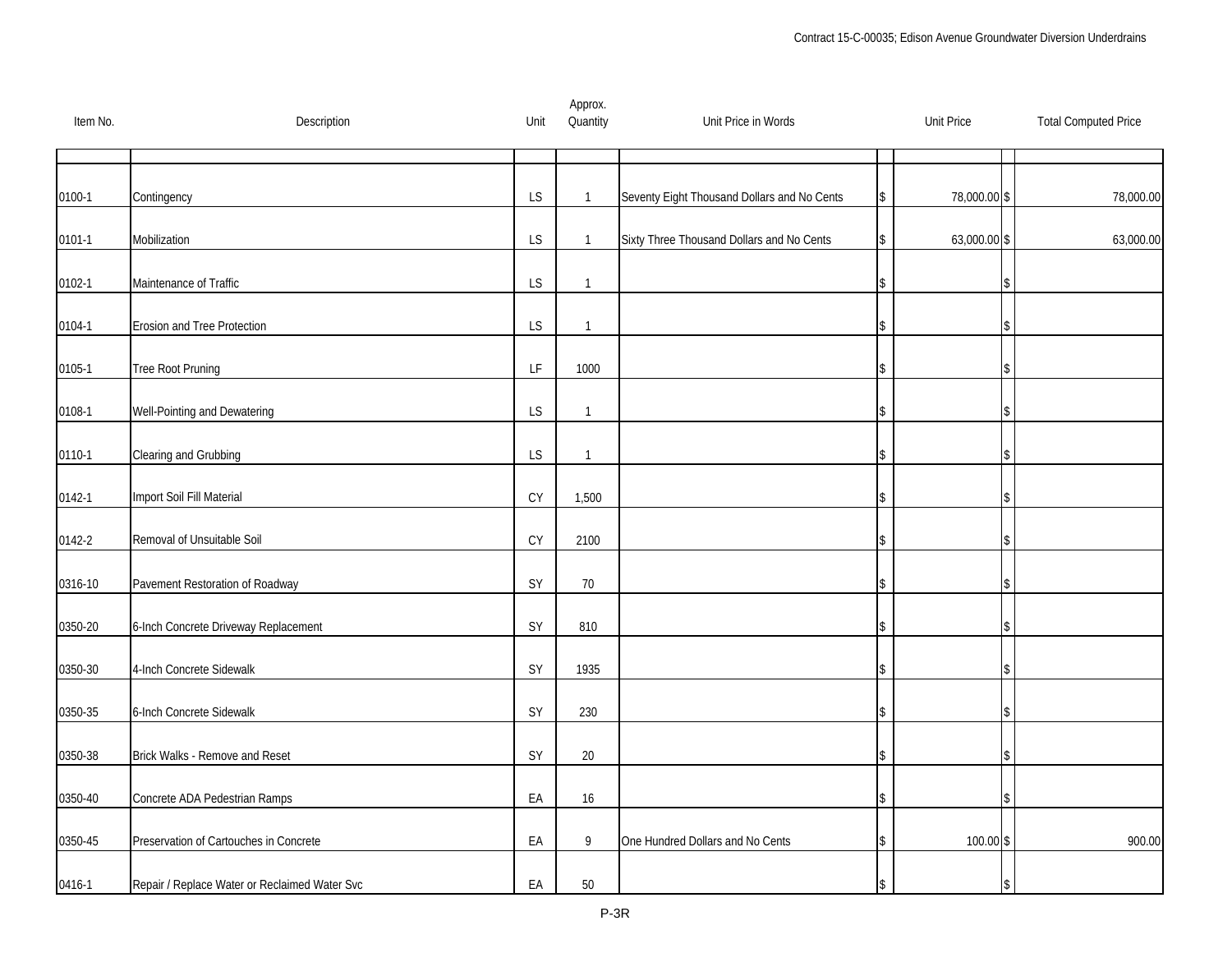| Item No.   | Description                                   | Unit                                                                                        | Approx.<br>Quantity | Unit Price in Words                         | <b>Unit Price</b> | <b>Total Computed Price</b> |
|------------|-----------------------------------------------|---------------------------------------------------------------------------------------------|---------------------|---------------------------------------------|-------------------|-----------------------------|
|            |                                               |                                                                                             |                     |                                             |                   |                             |
| $0100 - 1$ | Contingency                                   | LS                                                                                          | $\mathbf{1}$        | Seventy Eight Thousand Dollars and No Cents | 78,000.00 \$      | 78,000.00                   |
| $0101 - 1$ | Mobilization                                  | LS                                                                                          | $\mathbf{1}$        | Sixty Three Thousand Dollars and No Cents   | 63,000.00 \$      | 63,000.00                   |
| 0102-1     | Maintenance of Traffic                        | LS                                                                                          | $\mathbf{1}$        |                                             |                   |                             |
| 0104-1     | Erosion and Tree Protection                   | LS                                                                                          | $\mathbf{1}$        |                                             |                   |                             |
| 0105-1     | Tree Root Pruning                             | $\mathsf{LF}% _{0}\left( \mathcal{N}\right) \equiv\mathsf{LF}_{0}\left( \mathcal{N}\right)$ | 1000                |                                             |                   |                             |
| 0108-1     | Well-Pointing and Dewatering                  | LS                                                                                          | $\mathbf{1}$        |                                             |                   |                             |
| 0110-1     | Clearing and Grubbing                         | LS                                                                                          | $\mathbf{1}$        |                                             |                   |                             |
| 0142-1     | Import Soil Fill Material                     | CY                                                                                          | 1,500               |                                             |                   |                             |
| 0142-2     | Removal of Unsuitable Soil                    | $\mathsf{C}\mathsf{Y}$                                                                      | 2100                |                                             |                   |                             |
| 0316-10    | Pavement Restoration of Roadway               | SY                                                                                          | $70$                |                                             |                   |                             |
| 0350-20    | 6-Inch Concrete Driveway Replacement          | SY                                                                                          | 810                 |                                             |                   |                             |
| 0350-30    | 4-Inch Concrete Sidewalk                      | SY                                                                                          | 1935                |                                             |                   |                             |
| 0350-35    | 6-Inch Concrete Sidewalk                      | SY                                                                                          | 230                 |                                             |                   |                             |
| 0350-38    | Brick Walks - Remove and Reset                | SY                                                                                          | $20\,$              |                                             |                   |                             |
| 0350-40    | Concrete ADA Pedestrian Ramps                 | EA                                                                                          | 16                  |                                             |                   |                             |
| 0350-45    | Preservation of Cartouches in Concrete        | EA                                                                                          | 9                   | One Hundred Dollars and No Cents            | 100.00 \$         | 900.00                      |
| 0416-1     | Repair / Replace Water or Reclaimed Water Svc | EA                                                                                          | $50\,$              |                                             |                   |                             |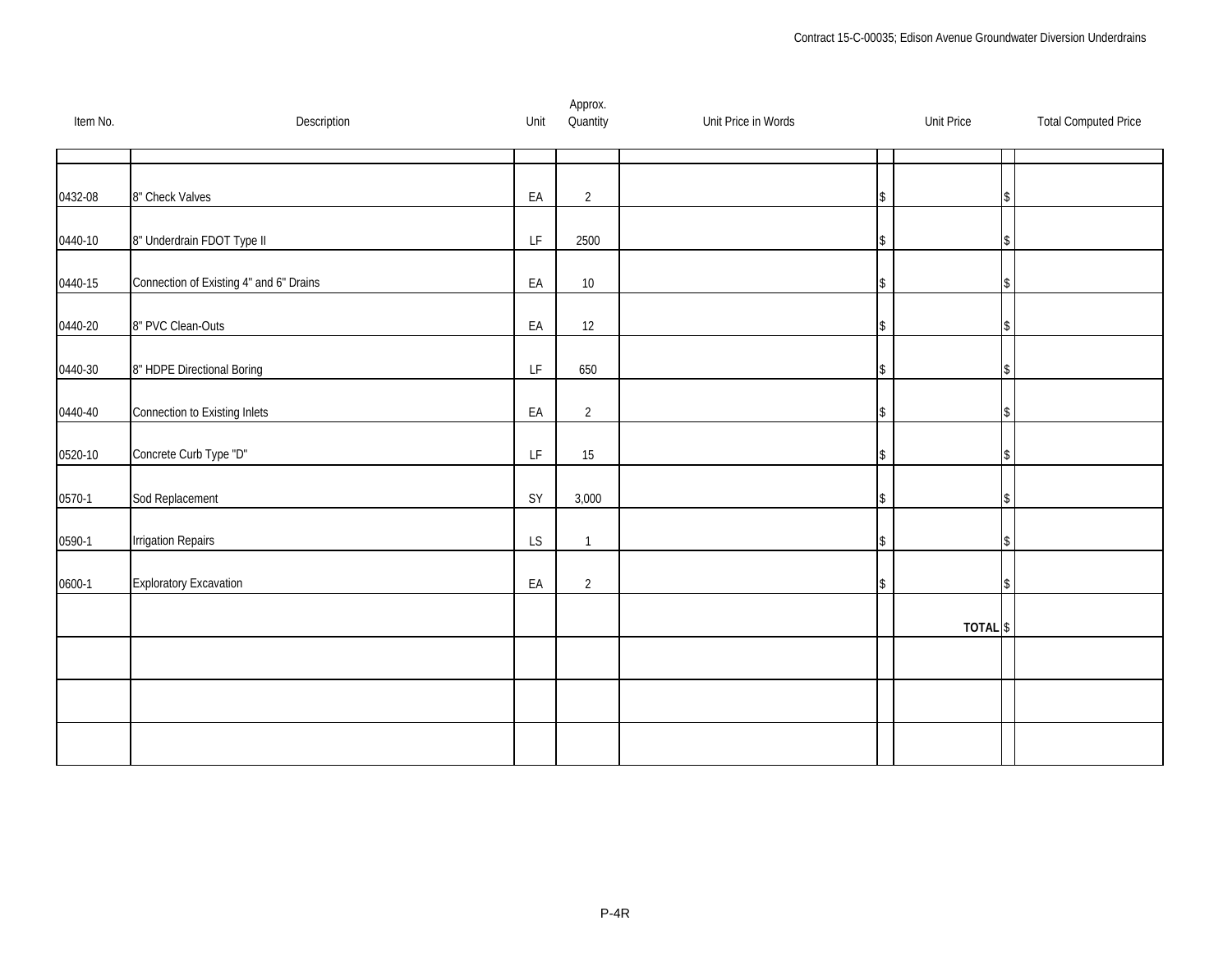| Item No. | Description                             | Unit                                                                                        | Approx.<br>Quantity | Unit Price in Words | <b>Unit Price</b>   | <b>Total Computed Price</b> |
|----------|-----------------------------------------|---------------------------------------------------------------------------------------------|---------------------|---------------------|---------------------|-----------------------------|
|          |                                         |                                                                                             |                     |                     |                     |                             |
| 0432-08  | 8" Check Valves                         | EA                                                                                          | $\overline{2}$      |                     |                     |                             |
| 0440-10  | 8" Underdrain FDOT Type II              | $\mathsf{LF}% _{0}\left( \mathcal{N}\right) \equiv\mathsf{LF}_{0}\left( \mathcal{N}\right)$ | 2500                |                     |                     |                             |
| 0440-15  | Connection of Existing 4" and 6" Drains | EA                                                                                          | $10\,$              |                     |                     |                             |
| 0440-20  | 8" PVC Clean-Outs                       | EA                                                                                          | 12                  |                     |                     |                             |
| 0440-30  | 8" HDPE Directional Boring              | LF                                                                                          | 650                 |                     |                     |                             |
| 0440-40  | Connection to Existing Inlets           | EA                                                                                          | $\overline{2}$      |                     |                     |                             |
| 0520-10  | Concrete Curb Type "D"                  | $\mathsf{LF}% _{0}\left( \mathcal{N}\right) \equiv\mathsf{LF}_{0}\left( \mathcal{N}\right)$ | 15                  |                     |                     |                             |
| $0570-1$ | Sod Replacement                         | SY                                                                                          | 3,000               |                     |                     |                             |
| 0590-1   | <b>Irrigation Repairs</b>               | LS                                                                                          | $\mathbf{1}$        |                     |                     |                             |
| 0600-1   | <b>Exploratory Excavation</b>           | EA                                                                                          | $\overline{2}$      |                     |                     |                             |
|          |                                         |                                                                                             |                     |                     | TOTAL <sup>\$</sup> |                             |
|          |                                         |                                                                                             |                     |                     |                     |                             |
|          |                                         |                                                                                             |                     |                     |                     |                             |
|          |                                         |                                                                                             |                     |                     |                     |                             |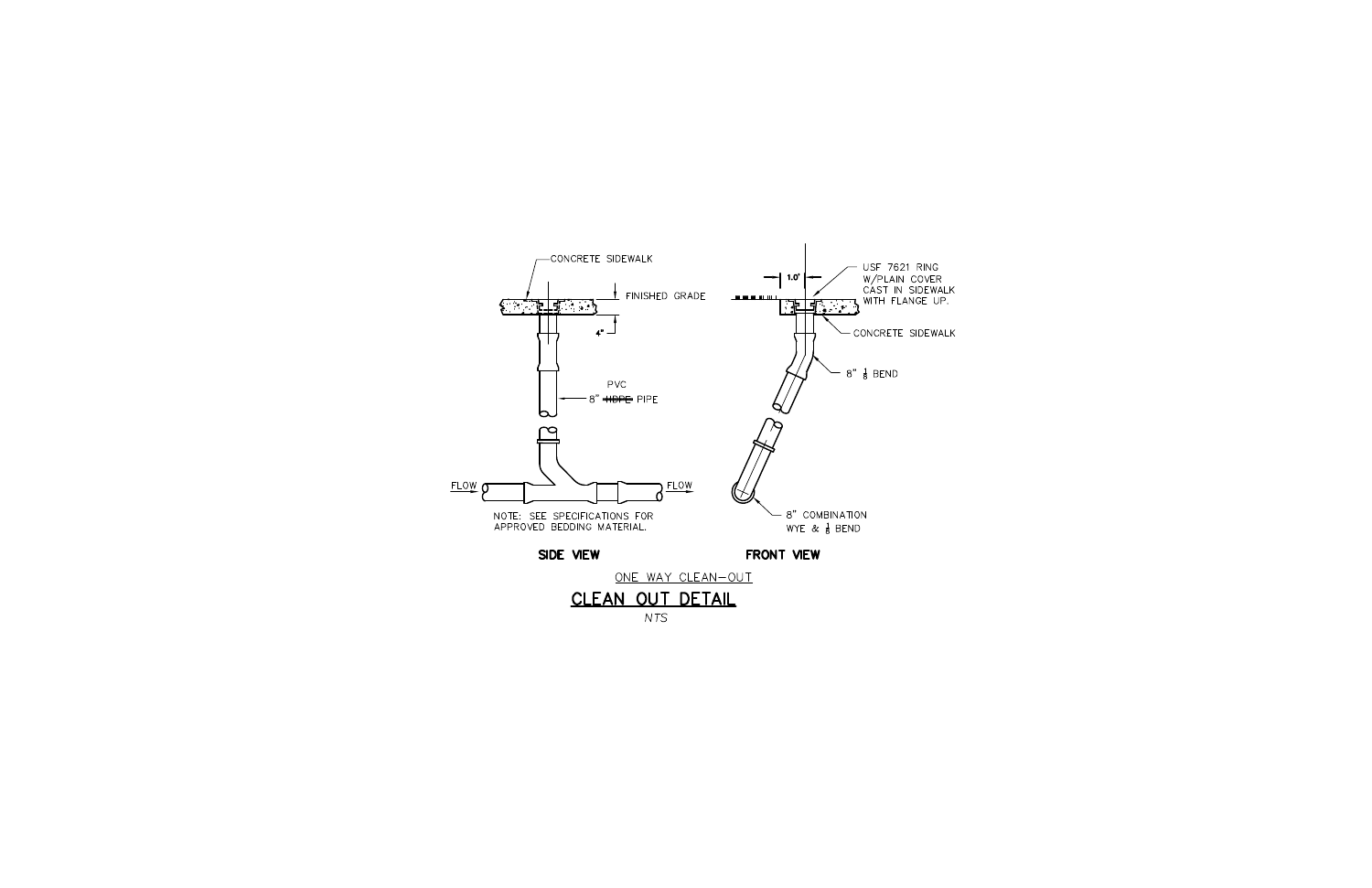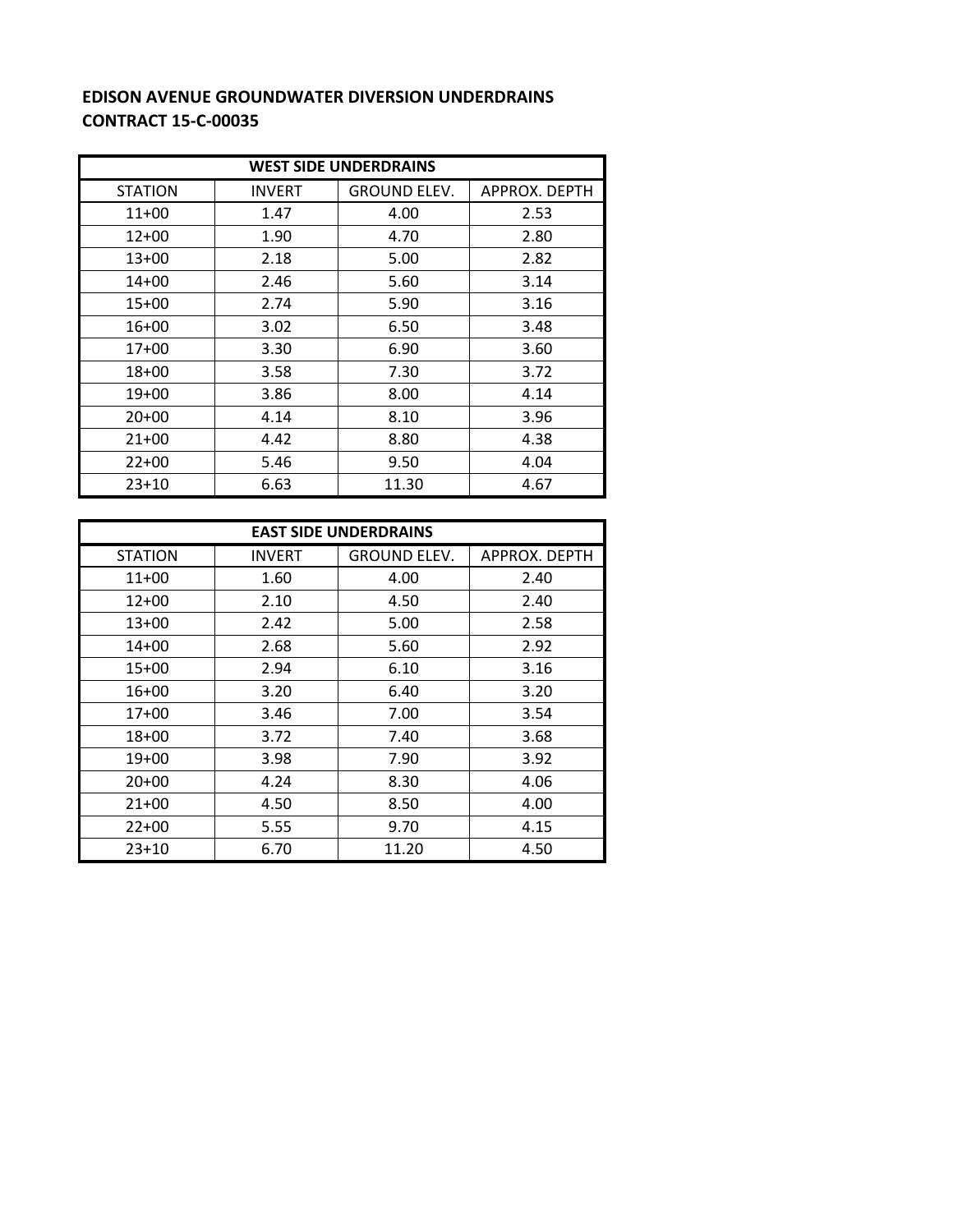## **EDISON AVENUE GROUNDWATER DIVERSION UNDERDRAINS CONTRACT 15‐C‐00035**

| <b>WEST SIDE UNDERDRAINS</b> |               |                     |               |  |  |  |
|------------------------------|---------------|---------------------|---------------|--|--|--|
| <b>STATION</b>               | <b>INVERT</b> | <b>GROUND ELEV.</b> | APPROX. DEPTH |  |  |  |
| $11+00$                      | 1.47          | 4.00                | 2.53          |  |  |  |
| $12+00$                      | 1.90          | 4.70                | 2.80          |  |  |  |
| $13+00$                      | 2.18          | 5.00                | 2.82          |  |  |  |
| $14+00$                      | 2.46          | 5.60                | 3.14          |  |  |  |
| $15+00$                      | 2.74          | 5.90                | 3.16          |  |  |  |
| $16+00$                      | 3.02          | 6.50                | 3.48          |  |  |  |
| $17+00$                      | 3.30          | 6.90                | 3.60          |  |  |  |
| $18 + 00$                    | 3.58          | 7.30                | 3.72          |  |  |  |
| $19+00$                      | 3.86          | 8.00                | 4.14          |  |  |  |
| $20+00$                      | 4.14          | 8.10                | 3.96          |  |  |  |
| $21+00$                      | 4.42          | 8.80                | 4.38          |  |  |  |
| $22+00$                      | 5.46          | 9.50                | 4.04          |  |  |  |
| $23+10$                      | 6.63          | 11.30               | 4.67          |  |  |  |

| <b>EAST SIDE UNDERDRAINS</b> |               |                     |                      |  |  |  |
|------------------------------|---------------|---------------------|----------------------|--|--|--|
| <b>STATION</b>               | <b>INVERT</b> | <b>GROUND ELEV.</b> | <b>APPROX. DEPTH</b> |  |  |  |
| $11+00$                      | 1.60          | 4.00                | 2.40                 |  |  |  |
| $12+00$                      | 2.10          | 4.50                | 2.40                 |  |  |  |
| $13+00$                      | 2.42          | 5.00                | 2.58                 |  |  |  |
| $14 + 00$                    | 2.68          | 5.60                | 2.92                 |  |  |  |
| 15+00                        | 2.94          | 6.10                | 3.16                 |  |  |  |
| $16+00$                      | 3.20          | 6.40                | 3.20                 |  |  |  |
| $17+00$                      | 3.46          | 7.00                | 3.54                 |  |  |  |
| $18 + 00$                    | 3.72          | 7.40                | 3.68                 |  |  |  |
| $19+00$                      | 3.98          | 7.90                | 3.92                 |  |  |  |
| $20+00$                      | 4.24          | 8.30                | 4.06                 |  |  |  |
| $21+00$                      | 4.50          | 8.50                | 4.00                 |  |  |  |
| $22+00$                      | 5.55          | 9.70                | 4.15                 |  |  |  |
| $23+10$                      | 6.70          | 11.20               | 4.50                 |  |  |  |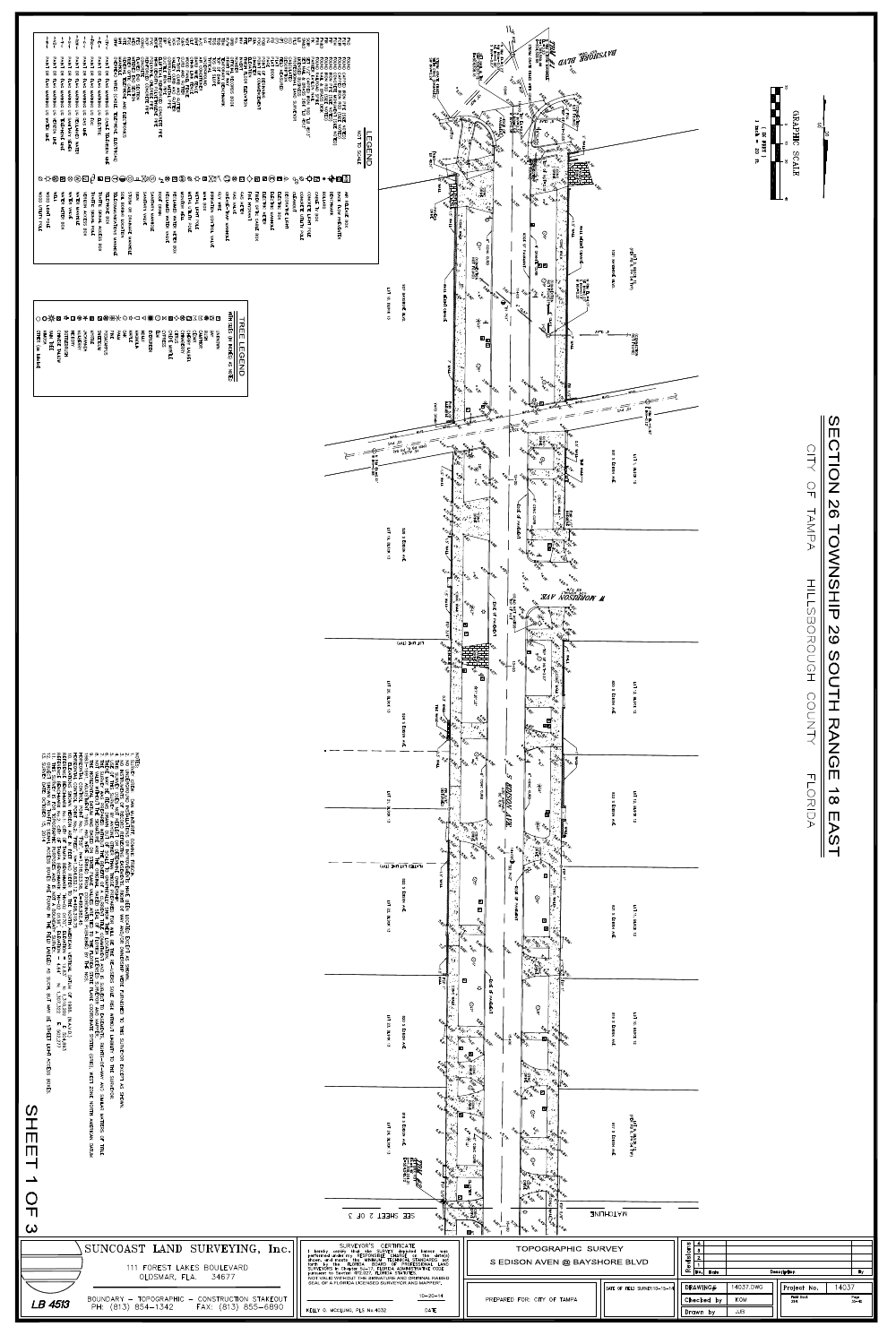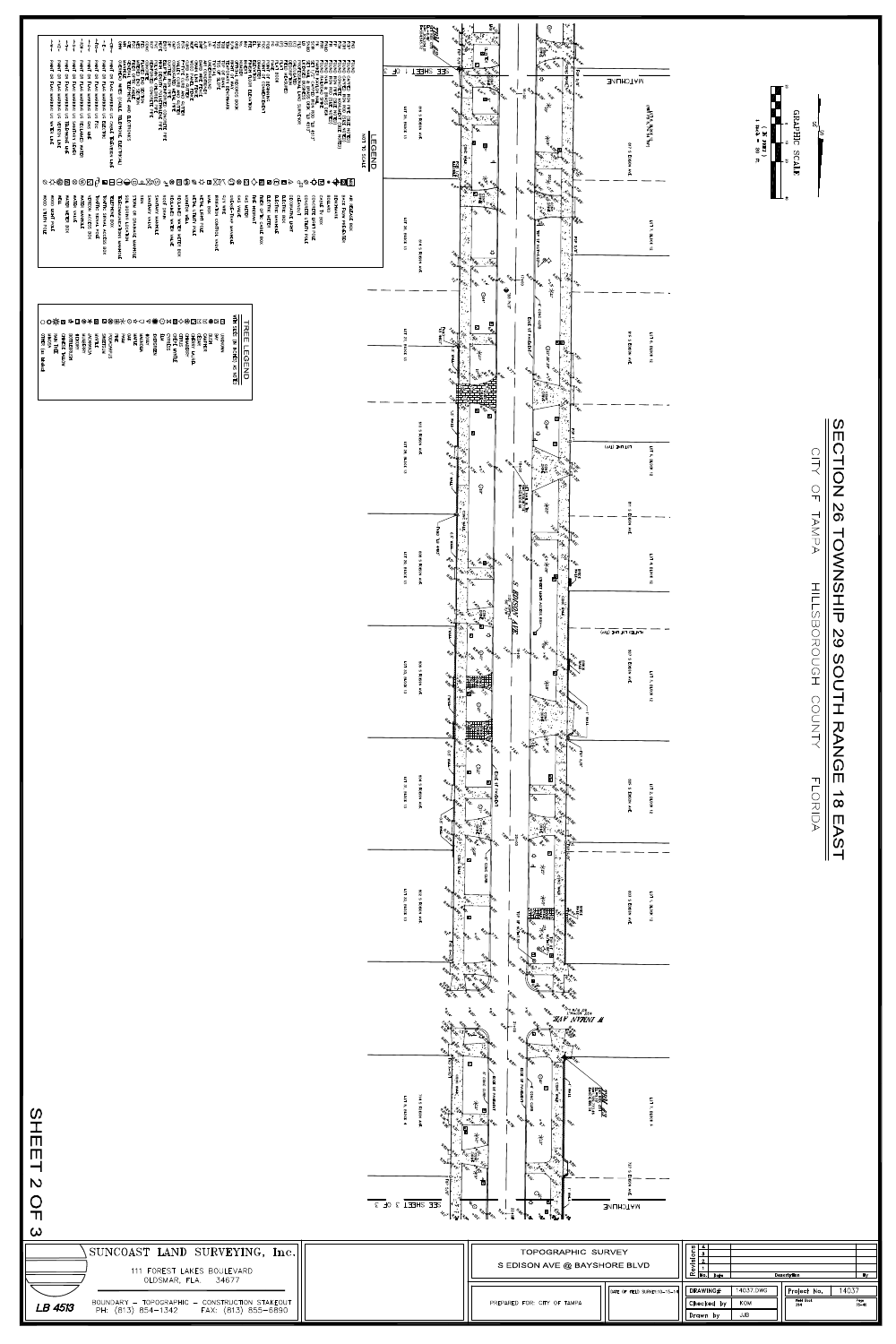

|⊠ |ے 为 ිසි<br>සි WALK LOT 32, BLOCK 13 802 S EDISON AVE.  $503$ HP38-8-8-1-00  $\overline{5}$ 水.<br>5.  $\rightarrow$ وه **BLOCK**  $\begin{picture}(180,170) \put(0,0){\line(1,0){150}} \put(10,0){\line(1,0){150}} \put(10,0){\line(1,0){150}} \put(10,0){\line(1,0){150}} \put(10,0){\line(1,0){150}} \put(10,0){\line(1,0){150}} \put(10,0){\line(1,0){150}} \put(10,0){\line(1,0){150}} \put(10,0){\line(1,0){150}} \put(10,0){\line(1,0){150}} \put(10,0){\line(1,0){150$  $\frac{10P}{10P}$  OF NUT= **RIVERS** જિ ğ AVE.  $\vec{z}$ 

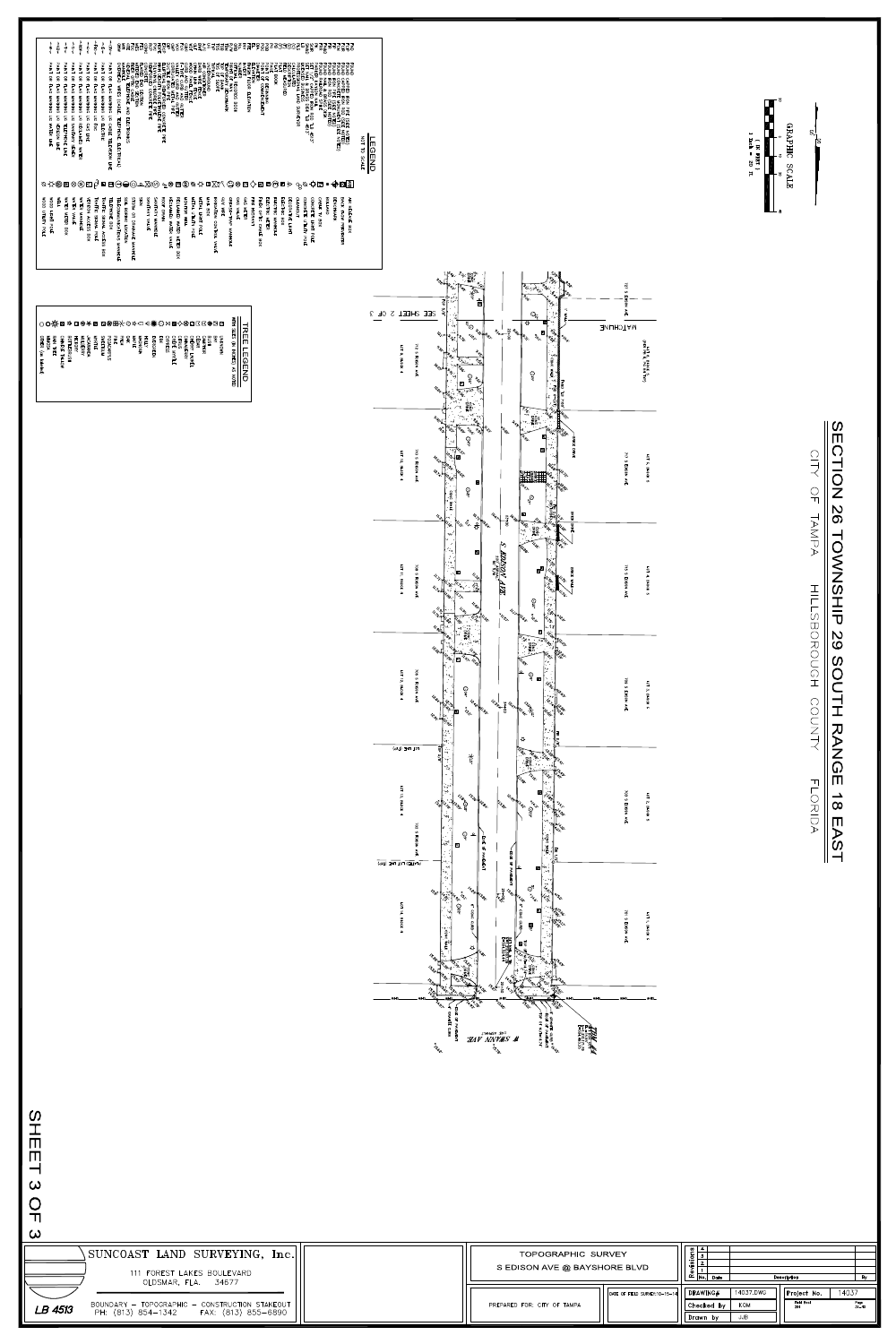

 $\frac{\bigcirc}{\Box}$ 





| <b>OOOM</b><br>UTLITY<br>ЪQГ<br>m                       | $\vee$                                   |
|---------------------------------------------------------|------------------------------------------|
| NOOD<br>LIGHT<br>POLE                                   |                                          |
| ¥ΕΓΓ                                                    | ❤ș∾                                      |
| <b>WATER</b><br><b>NETER</b><br>BOX                     |                                          |
| <b>WATER</b><br><b>VALVE</b>                            |                                          |
| <b>WATER</b><br>NANHOL<br>'n                            |                                          |
| <b>FRIZON</b><br><b>ACCESS</b><br>BOX                   |                                          |
| <b>TRAFFIC</b><br><b>SIGNAL</b><br>POLE                 | ピ                                        |
| <b>TRAFFIC</b><br><b>SIGNAL</b><br><b>ACCESS</b><br>BOX | -                                        |
| <b>TELEPHONE</b><br>BOX                                 |                                          |
| <b><i>TELECOMMUNICATIONS</i></b><br><b>MANHOL</b><br>m  |                                          |
| <b>JIOS</b><br><b>BORING</b><br>LOCATION                |                                          |
| STORM<br>င္ဘ<br><b>DRAINAGE</b><br>NANHOLE              | $\cup$ w $\cup$ $\mathbb{\sim}$ a $\sim$ |
| SIGN                                                    |                                          |
| SANITARY<br><b>VALVE</b>                                |                                          |
| SANITARY<br><b>MANHOLE</b>                              |                                          |
| ROOF<br>DRAIN                                           |                                          |
| <b>RECLAIMED</b><br><b>WATER</b><br>≨<br>낟              | ີຊື                                      |
| <b>RECLAIMED</b><br><b>WATER</b><br><b>METER</b><br>BOX |                                          |
| MONITOR<br>MEL<br>T                                     |                                          |
| METAL<br>UTILITY<br><b>POLE</b>                         | <b>MRAX</b>                              |
| METAL<br>LIGHT<br><b>POLE</b>                           |                                          |
| <b>NAIL</b><br>80x                                      |                                          |
| <b>RRIGATION</b><br><b>CONTROL</b><br>≨<br>닞            | ™ ∆ਟ                                     |
| င်<br>5<br>MRE                                          |                                          |
| <b>GREASE</b><br>- TRAP<br><b>NANHOLE</b>               |                                          |
| <b>GAS</b><br><b>VALVE</b>                              | ⊌ ™                                      |
| <b>GAS</b><br><b>NETER</b>                              |                                          |
| 吕<br><b>HYDRANT</b>                                     | $\checkmark$                             |
| <b>FIBER</b><br>OLLO<br><b>CABL</b><br>m<br>BOX         |                                          |
| <b>ELECTRIC</b><br><b>METER</b>                         |                                          |
| <b>ELECTRIC</b><br><b>MANHOL</b><br>m                   | ات س سا ها                               |
| <b>ELECTRIC</b><br>BOX                                  |                                          |
| DECORATIVE<br>LIGHT                                     | مسلة                                     |
| <b>CLEANOUT</b>                                         | ිරි                                      |
| <b>CONCRETE</b><br>UTILITY<br><b>POLE</b>               | $\mathsf{\times}$                        |
| <b>CONCRETE</b><br>LIGHT<br>РО<br>П                     | لکا ب                                    |
| <b>CABLE</b><br>さ<br>BOX                                |                                          |
| <b>BOLL</b><br>ARD.                                     | $\bullet$                                |
| <b>BENCHMARK</b>                                        |                                          |
| BACK<br>FLOW<br>PREVENTER                               | VV KYL <u>Õ</u>                          |
| 盖<br><b>RELEASE</b><br>BOX                              |                                          |









- 8  $\mathbb{V}$ 

S.

īS

## $\overline{O}$ **SC** TOWNSHIP 82 SOUTH RANGE  $\frac{1}{8}$ EAST

TAMPA HULCDOROUGH COUNTY

FLORIDA

|                                                                                                                                | _ МНО_____________ МНО______________ МНО__<br>$\dddot{\mathcal{H}}$ ivhasv .st . $\dddot{\mathcal{H}}$                                                                                                                                                                                                                                                                                                                                                                                                                                                                              |
|--------------------------------------------------------------------------------------------------------------------------------|-------------------------------------------------------------------------------------------------------------------------------------------------------------------------------------------------------------------------------------------------------------------------------------------------------------------------------------------------------------------------------------------------------------------------------------------------------------------------------------------------------------------------------------------------------------------------------------|
| $\bm{\omega}$<br>$\omega$<br>$\frac{O}{D}$<br>ယ                                                                                |                                                                                                                                                                                                                                                                                                                                                                                                                                                                                                                                                                                     |
| SUNCOAST LAND SURVEYING, Inc.<br>111 FOREST LAKES BOULEVARD                                                                    | $\begin{array}{c c}\n0 & 4 \\ \hline\n0 & 3 \\ \hline\n\vdots & \vdots \\ \hline\n\vdots & \vdots \\ \hline\n\vdots & \vdots \\ \hline\n\vdots & \vdots \\ \hline\n\vdots & \vdots \\ \hline\n\vdots & \vdots \\ \hline\n\vdots & \vdots \\ \hline\n\vdots & \vdots \\ \hline\n\vdots & \vdots \\ \hline\n\vdots & \vdots \\ \hline\n\vdots & \vdots \\ \hline\n\vdots & \vdots \\ \hline\n\vdots & \vdots \\ \hline\n\vdots & \vdots \\ \hline\n\vdots & \vdots \\ \hline\n\vdots & \vdots \\ \hline\n$<br>TOPOGRAPHIC SURVEY<br>S EDISON AVE @ BAYSHORE BLVD<br>Description<br>By |
| OLDSMAR, FLA. 34677<br>BOUNDARY – TOPOGRAPHIC – CONSTRUCTION STAKEOUT<br>PH: (813) 854–1342     FAX: (813) 855–6890<br>LB 4513 | 14037.DWG<br>14037<br>DRAWING#<br>$ $ Project No.<br>DATE OF FIELD SURVEY:10-15-14<br>Field Book<br>284<br>Page<br>35–40<br>PREPARED FOR: CITY OF TAMPA<br>$ $ Checked by $ $<br>KOM<br>JJB<br>Drawn by                                                                                                                                                                                                                                                                                                                                                                             |